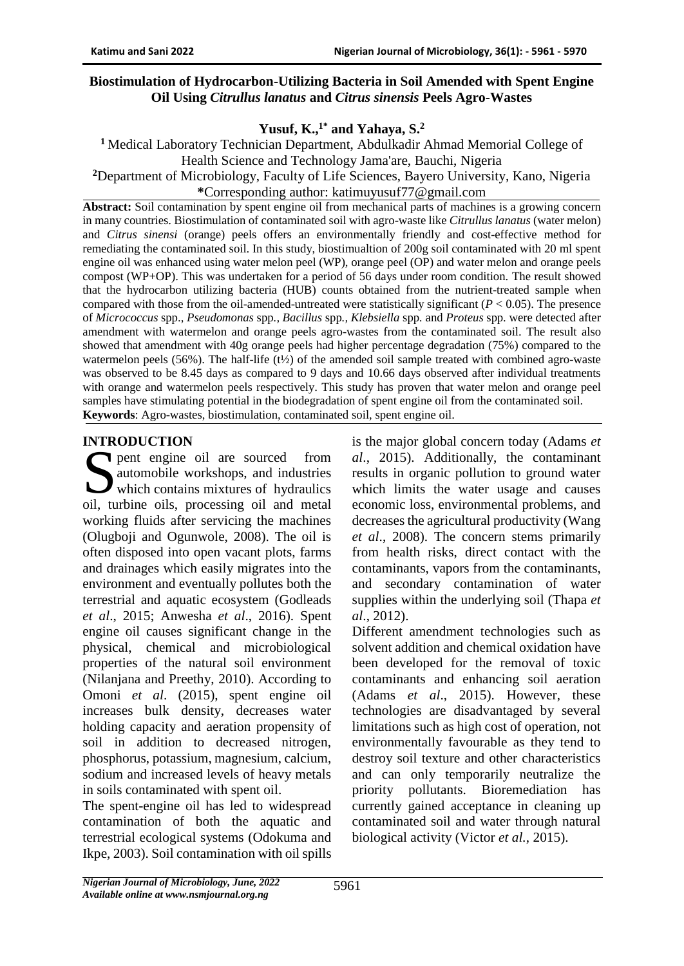#### **Biostimulation of Hydrocarbon-Utilizing Bacteria in Soil Amended with Spent Engine Oil Using** *Citrullus lanatus* **and** *Citrus sinensis* **Peels Agro-Wastes**

**Yusuf, K.,1\* and Yahaya, S.<sup>2</sup>**

**<sup>1</sup>**Medical Laboratory Technician Department, Abdulkadir Ahmad Memorial College of Health Science and Technology Jama'are, Bauchi, Nigeria

**<sup>2</sup>**Department of Microbiology, Faculty of Life Sciences, Bayero University, Kano, Nigeria

**\***Corresponding author: katimuyusuf77@gmail.com

**Abstract:** Soil contamination by spent engine oil from mechanical parts of machines is a growing concern in many countries. Biostimulation of contaminated soil with agro-waste like *Citrullus lanatus* (water melon) and *Citrus sinensi* (orange) peels offers an environmentally friendly and cost-effective method for remediating the contaminated soil. In this study, biostimualtion of 200g soil contaminated with 20 ml spent engine oil was enhanced using water melon peel (WP), orange peel (OP) and water melon and orange peels compost (WP+OP). This was undertaken for a period of 56 days under room condition. The result showed that the hydrocarbon utilizing bacteria (HUB) counts obtained from the nutrient-treated sample when compared with those from the oil-amended-untreated were statistically significant  $(P < 0.05)$ . The presence of *Micrococcus* spp., *Pseudomonas* spp*., Bacillus* spp*., Klebsiella* spp*.* and *Proteus* spp. were detected after amendment with watermelon and orange peels agro-wastes from the contaminated soil. The result also showed that amendment with 40g orange peels had higher percentage degradation (75%) compared to the watermelon peels (56%). The half-life (t<sup>1</sup>/<sub>2</sub>) of the amended soil sample treated with combined agro-waste was observed to be 8.45 days as compared to 9 days and 10.66 days observed after individual treatments with orange and watermelon peels respectively. This study has proven that water melon and orange peel samples have stimulating potential in the biodegradation of spent engine oil from the contaminated soil. **Keywords**: Agro-wastes, biostimulation, contaminated soil, spent engine oil.

# **INTRODUCTION**

pent engine oil are sourced from automobile workshops, and industries which contains mixtures of hydraulics<br>
which contains mixtures of hydraulics<br>
oil, turbing oils, processing oil, and motel oil, turbine oils, processing oil and metal working fluids after servicing the machines (Olugboji and Ogunwole, 2008). The oil is often disposed into open vacant plots, farms and drainages which easily migrates into the environment and eventually pollutes both the terrestrial and aquatic ecosystem (Godleads *et al*., 2015; Anwesha *et al*., 2016). Spent engine oil causes significant change in the physical, chemical and microbiological properties of the natural soil environment (Nilanjana and Preethy, 2010). According to Omoni *et al*. (2015), spent engine oil increases bulk density, decreases water holding capacity and aeration propensity of soil in addition to decreased nitrogen, phosphorus, potassium, magnesium, calcium, sodium and increased levels of heavy metals in soils contaminated with spent oil.

The spent-engine oil has led to widespread contamination of both the aquatic and terrestrial ecological systems (Odokuma and Ikpe, 2003). Soil contamination with oil spills is the major global concern today (Adams *et al*., 2015). Additionally, the contaminant results in organic pollution to ground water which limits the water usage and causes economic loss, environmental problems, and decreases the agricultural productivity (Wang *et al*., 2008). The concern stems primarily from health risks, direct contact with the contaminants, vapors from the contaminants, and secondary contamination of water supplies within the underlying soil (Thapa *et al*., 2012).

Different amendment technologies such as solvent addition and chemical oxidation have been developed for the removal of toxic contaminants and enhancing soil aeration (Adams *et al*., 2015). However, these technologies are disadvantaged by several limitations such as high cost of operation, not environmentally favourable as they tend to destroy soil texture and other characteristics and can only temporarily neutralize the priority pollutants. Bioremediation has currently gained acceptance in cleaning up contaminated soil and water through natural biological activity (Victor *et al.*, 2015).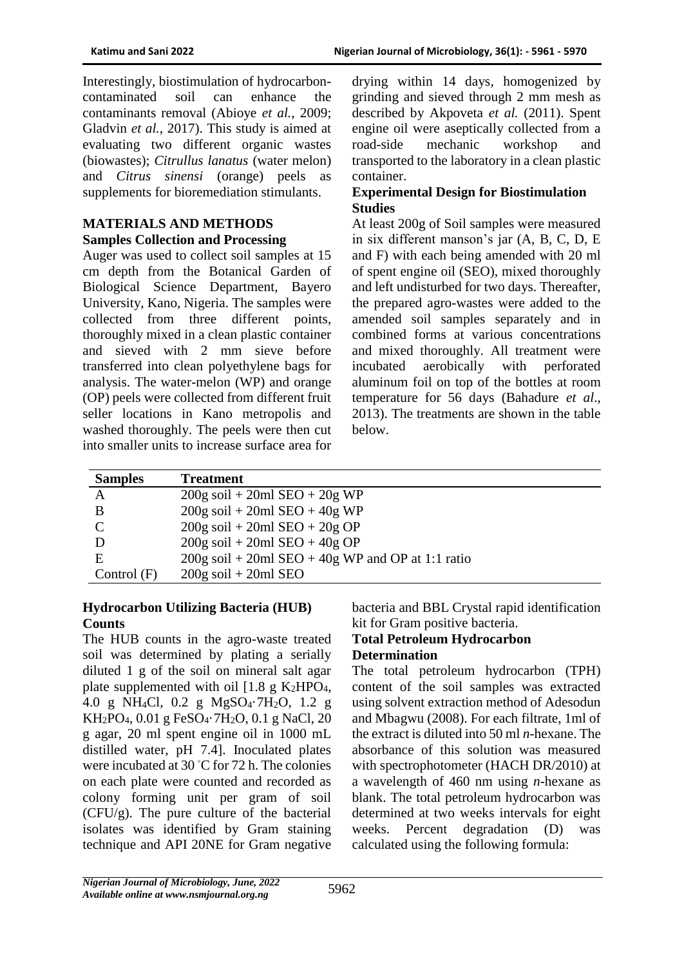Interestingly, biostimulation of hydrocarboncontaminated soil can enhance the contaminants removal (Abioye *et al.*, 2009; Gladvin *et al.*, 2017). This study is aimed at evaluating two different organic wastes (biowastes); *Citrullus lanatus* (water melon) and *Citrus sinensi* (orange) peels as supplements for bioremediation stimulants.

#### **MATERIALS AND METHODS Samples Collection and Processing**

Auger was used to collect soil samples at 15 cm depth from the Botanical Garden of Biological Science Department, Bayero University, Kano, Nigeria. The samples were collected from three different points, thoroughly mixed in a clean plastic container and sieved with 2 mm sieve before transferred into clean polyethylene bags for analysis. The water-melon (WP) and orange (OP) peels were collected from different fruit seller locations in Kano metropolis and washed thoroughly. The peels were then cut into smaller units to increase surface area for

drying within 14 days, homogenized by grinding and sieved through 2 mm mesh as described by Akpoveta *et al.* (2011). Spent engine oil were aseptically collected from a road-side mechanic workshop and transported to the laboratory in a clean plastic container.

# **Experimental Design for Biostimulation Studies**

At least 200g of Soil samples were measured in six different manson's jar (A, B, C, D, E and F) with each being amended with 20 ml of spent engine oil (SEO), mixed thoroughly and left undisturbed for two days. Thereafter, the prepared agro-wastes were added to the amended soil samples separately and in combined forms at various concentrations and mixed thoroughly. All treatment were incubated aerobically with perforated aluminum foil on top of the bottles at room temperature for 56 days (Bahadure *et al*., 2013). The treatments are shown in the table below.

| <b>Samples</b> | <b>Treatment</b>                                    |
|----------------|-----------------------------------------------------|
| A              | $200g$ soil + 20ml SEO + 20g WP                     |
| B              | $200g$ soil + 20ml SEO + 40g WP                     |
| $\Gamma$       | $200g$ soil + 20ml SEO + 20g OP                     |
|                | $200g$ soil + 20ml SEO + 40g OP                     |
| E              | $200g$ soil + 20ml SEO + 40g WP and OP at 1:1 ratio |
| Control $(F)$  | $200g$ soil + $20m1$ SEO                            |

# **Hydrocarbon Utilizing Bacteria (HUB) Counts**

The HUB counts in the agro-waste treated soil was determined by plating a serially diluted 1 g of the soil on mineral salt agar plate supplemented with oil  $[1.8 \text{ g } K_2HPO_4]$ , 4.0 g NH4Cl, 0.2 g MgSO4·7H2O, 1.2 g KH2PO4, 0.01 g FeSO4·7H2O, 0.1 g NaCl, 20 g agar, 20 ml spent engine oil in 1000 mL distilled water, pH 7.4]. Inoculated plates were incubated at 30 ◦C for 72 h. The colonies on each plate were counted and recorded as colony forming unit per gram of soil (CFU/g). The pure culture of the bacterial isolates was identified by Gram staining technique and API 20NE for Gram negative

bacteria and BBL Crystal rapid identification kit for Gram positive bacteria.

# **Total Petroleum Hydrocarbon**

# **Determination**

The total petroleum hydrocarbon (TPH) content of the soil samples was extracted using solvent extraction method of Adesodun and Mbagwu (2008). For each filtrate, 1ml of the extract is diluted into 50 ml *n*-hexane. The absorbance of this solution was measured with spectrophotometer (HACH DR/2010) at a wavelength of 460 nm using *n*-hexane as blank. The total petroleum hydrocarbon was determined at two weeks intervals for eight weeks. Percent degradation (D) was calculated using the following formula: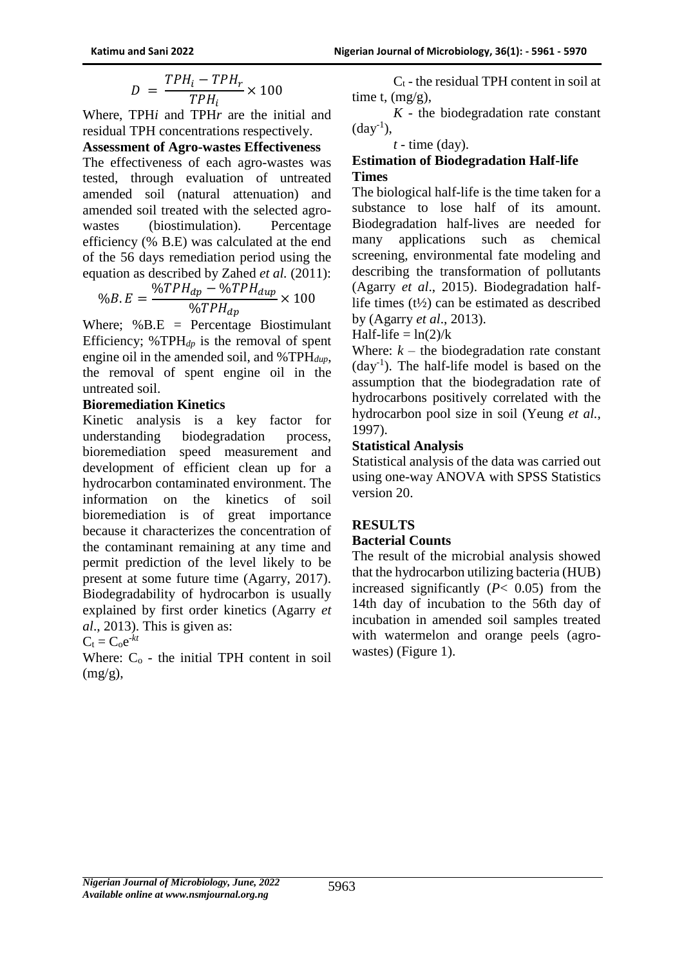$$
D\ =\ \frac{TPH_i-TPH_r}{TPH_i}\times 100
$$

Where, TPH*i* and TPH*r* are the initial and residual TPH concentrations respectively.

#### **Assessment of Agro-wastes Effectiveness**

The effectiveness of each agro-wastes was tested, through evaluation of untreated amended soil (natural attenuation) and amended soil treated with the selected agrowastes (biostimulation). Percentage efficiency (% B.E) was calculated at the end of the 56 days remediation period using the equation as described by Zahed *et al.* (2011):

$$
\%B.E = \frac{\%TPH_{dp} - \%TPH_{dup}}{\%TPH_{dp}} \times 100
$$

Where;  $%BE = Percentage Biostimulant$ Efficiency; %TPH*dp* is the removal of spent engine oil in the amended soil, and %TPH*dup*, the removal of spent engine oil in the untreated soil.

#### **Bioremediation Kinetics**

Kinetic analysis is a key factor for understanding biodegradation process, bioremediation speed measurement and development of efficient clean up for a hydrocarbon contaminated environment. The information on the kinetics of soil bioremediation is of great importance because it characterizes the concentration of the contaminant remaining at any time and permit prediction of the level likely to be present at some future time (Agarry, 2017). Biodegradability of hydrocarbon is usually explained by first order kinetics (Agarry *et al*., 2013). This is given as:

$$
C_t = C_0 e^{-kt}
$$

Where:  $C_0$  - the initial TPH content in soil  $(mg/g)$ ,

 $C_t$  - the residual TPH content in soil at time t,  $(mg/g)$ ,

 $K$  - the biodegradation rate constant  $(\text{day}^{-1})$ ,

#### *t* - time (day).

#### **Estimation of Biodegradation Half-life Times**

The biological half-life is the time taken for a substance to lose half of its amount. Biodegradation half-lives are needed for many applications such as chemical screening, environmental fate modeling and describing the transformation of pollutants (Agarry *et al*., 2015). Biodegradation halflife times  $(t\frac{1}{2})$  can be estimated as described by (Agarry *et al*., 2013).

Half-life  $= \ln(2)/k$ 

Where:  $k -$  the biodegradation rate constant (day-1 ). The half-life model is based on the assumption that the biodegradation rate of hydrocarbons positively correlated with the hydrocarbon pool size in soil (Yeung *et al.,* 1997).

#### **Statistical Analysis**

Statistical analysis of the data was carried out using one-way ANOVA with SPSS Statistics version 20.

# **RESULTS**

#### **Bacterial Counts**

The result of the microbial analysis showed that the hydrocarbon utilizing bacteria (HUB) increased significantly  $(P< 0.05)$  from the 14th day of incubation to the 56th day of incubation in amended soil samples treated with watermelon and orange peels (agrowastes) (Figure 1).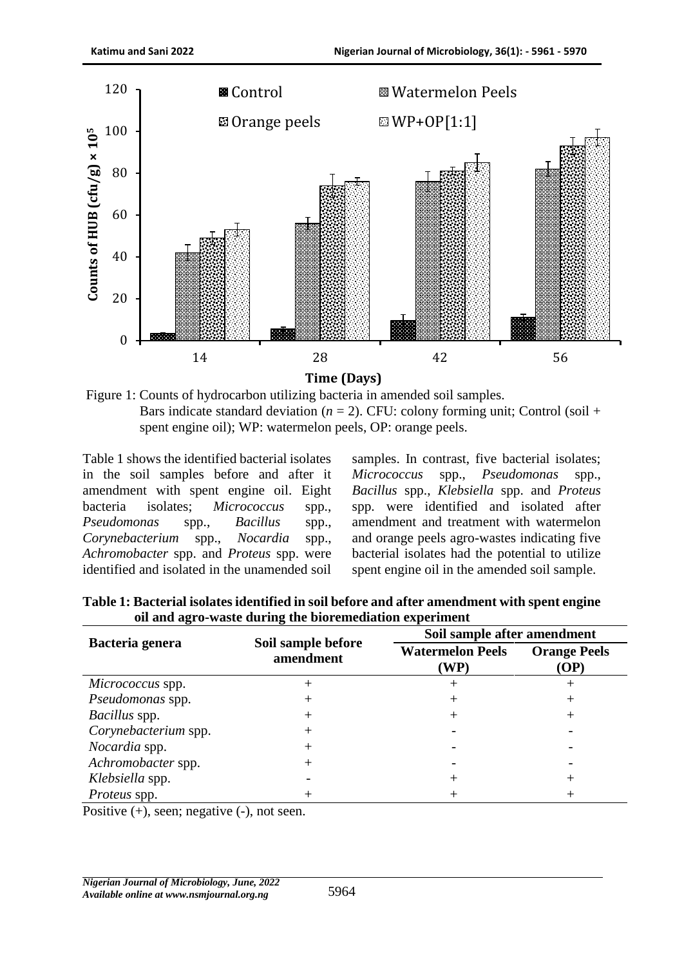

Figure 1: Counts of hydrocarbon utilizing bacteria in amended soil samples. Bars indicate standard deviation  $(n = 2)$ . CFU: colony forming unit; Control (soil + spent engine oil); WP: watermelon peels, OP: orange peels.

Table 1 shows the identified bacterial isolates in the soil samples before and after it amendment with spent engine oil. Eight bacteria isolates; *Micrococcus* spp., *Pseudomonas* spp., *Bacillus* spp., *Corynebacterium* spp., *Nocardia* spp., *Achromobacter* spp. and *Proteus* spp. were identified and isolated in the unamended soil

samples. In contrast, five bacterial isolates; *Micrococcus* spp., *Pseudomonas* spp., *Bacillus* spp., *Klebsiella* spp. and *Proteus*  spp. were identified and isolated after amendment and treatment with watermelon and orange peels agro-wastes indicating five bacterial isolates had the potential to utilize spent engine oil in the amended soil sample.

|                      |                                 | Soil sample after amendment     |                             |  |  |
|----------------------|---------------------------------|---------------------------------|-----------------------------|--|--|
| Bacteria genera      | Soil sample before<br>amendment | <b>Watermelon Peels</b><br>(WP) | <b>Orange Peels</b><br>(OP) |  |  |
| Micrococcus spp.     |                                 |                                 |                             |  |  |
| Pseudomonas spp.     |                                 |                                 |                             |  |  |
| Bacillus spp.        |                                 |                                 |                             |  |  |
| Corynebacterium spp. |                                 |                                 |                             |  |  |
| Nocardia spp.        |                                 |                                 |                             |  |  |
| Achromobacter spp.   |                                 |                                 |                             |  |  |
| Klebsiella spp.      |                                 |                                 |                             |  |  |
| <i>Proteus</i> spp.  |                                 |                                 |                             |  |  |

**Table 1: Bacterial isolates identified in soil before and after amendment with spent engine oil and agro-waste during the bioremediation experiment**

Positive (+), seen; negative (-), not seen.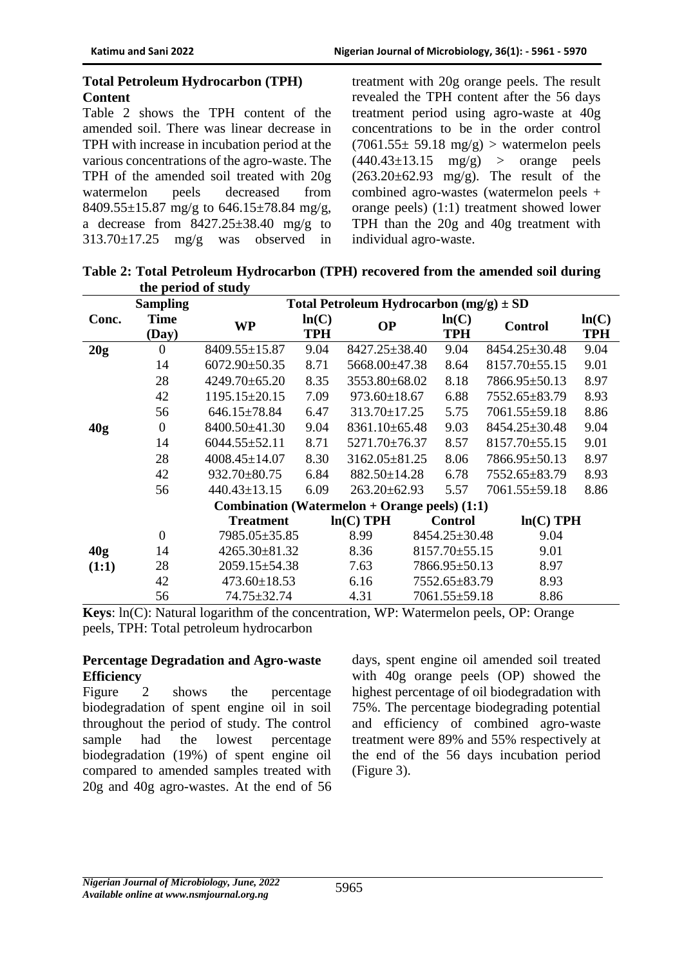#### **Total Petroleum Hydrocarbon (TPH) Content**

Table 2 shows the TPH content of the amended soil. There was linear decrease in TPH with increase in incubation period at the various concentrations of the agro-waste. The TPH of the amended soil treated with 20g watermelon peels decreased from 8409.55 $\pm$ 15.87 mg/g to 646.15 $\pm$ 78.84 mg/g, a decrease from  $8427.25 \pm 38.40$  mg/g to  $313.70 \pm 17.25$  mg/g was observed in

treatment with 20g orange peels. The result revealed the TPH content after the 56 days treatment period using agro-waste at 40g concentrations to be in the order control  $(7061.55 \pm 59.18 \text{ mg/g})$  > watermelon peels  $(440.43\pm13.15 \text{ mg/g})$  > orange peels  $(263.20 \pm 62.93 \text{ mg/g})$ . The result of the combined agro-wastes (watermelon peels + orange peels) (1:1) treatment showed lower TPH than the 20g and 40g treatment with individual agro-waste.

**Table 2: Total Petroleum Hydrocarbon (TPH) recovered from the amended soil during the period of study**

|                 | <b>Sampling</b>                                        | Total Petroleum Hydrocarbon $(mg/g) \pm SD$ |            |                     |  |                     |                     |             |            |
|-----------------|--------------------------------------------------------|---------------------------------------------|------------|---------------------|--|---------------------|---------------------|-------------|------------|
| Conc.           | <b>Time</b>                                            | <b>WP</b>                                   | ln(C)      | <b>OP</b>           |  | ln(C)               | Control             |             | ln(C)      |
|                 | (Day)                                                  |                                             | <b>TPH</b> |                     |  | <b>TPH</b>          |                     |             | <b>TPH</b> |
| 20g             | $\overline{0}$                                         | $8409.55 \pm 15.87$                         | 9.04       | 8427.25±38.40       |  | 9.04                | 8454.25±30.48       |             | 9.04       |
|                 | 14                                                     | $6072.90 \pm 50.35$                         | 8.71       | 5668.00±47.38       |  | 8.64                | 8157.70±55.15       |             | 9.01       |
|                 | 28                                                     | $4249.70 \pm 65.20$                         | 8.35       | 3553.80±68.02       |  | 8.18                | 7866.95±50.13       |             | 8.97       |
|                 | 42                                                     | $1195.15 \pm 20.15$                         | 7.09       | $973.60 \pm 18.67$  |  | 6.88                | 7552.65±83.79       |             | 8.93       |
|                 | 56                                                     | $646.15 \pm 78.84$                          | 6.47       | 313.70±17.25        |  | 5.75                | $7061.55 \pm 59.18$ |             | 8.86       |
| 40 <sub>g</sub> | $\theta$                                               | 8400.50±41.30                               | 9.04       | $8361.10\pm 65.48$  |  | 9.03                | 8454.25±30.48       |             | 9.04       |
|                 | 14                                                     | $6044.55 \pm 52.11$                         | 8.71       | $5271.70\pm76.37$   |  | 8.57                | 8157.70±55.15       |             | 9.01       |
|                 | 28                                                     | $4008.45 \pm 14.07$                         | 8.30       | $3162.05 \pm 81.25$ |  | 8.06                | 7866.95±50.13       |             | 8.97       |
|                 | 42                                                     | 932.70±80.75                                | 6.84       | 882.50±14.28        |  | 6.78                | 7552.65±83.79       |             | 8.93       |
|                 | 56                                                     | $440.43 \pm 13.15$                          | 6.09       | $263.20 \pm 62.93$  |  | 5.57                | $7061.55 \pm 59.18$ |             | 8.86       |
|                 | <b>Combination</b> (Watermelon + Orange peels) $(1:1)$ |                                             |            |                     |  |                     |                     |             |            |
|                 |                                                        | <b>Treatment</b>                            |            | $ln(C)$ TPH         |  | <b>Control</b>      |                     | $ln(C)$ TPH |            |
|                 | $\overline{0}$                                         | 7985.05±35.85                               |            | 8.99                |  | 8454.25±30.48       |                     | 9.04        |            |
| 40 <sub>g</sub> | 14                                                     | $4265.30 \pm 81.32$                         |            | 8.36                |  | 8157.70±55.15       |                     | 9.01        |            |
| (1:1)           | 28                                                     | 2059.15±54.38                               |            | 7.63                |  | 7866.95±50.13       |                     | 8.97        |            |
|                 | 42                                                     | $473.60 \pm 18.53$                          |            | 6.16                |  | 7552.65±83.79       |                     | 8.93        |            |
|                 | 56                                                     | 74.75±32.74                                 |            | 4.31                |  | $7061.55 \pm 59.18$ |                     | 8.86        |            |

**Keys**: ln(C): Natural logarithm of the concentration, WP: Watermelon peels, OP: Orange peels, TPH: Total petroleum hydrocarbon

#### **Percentage Degradation and Agro-waste Efficiency**

Figure 2 shows the percentage biodegradation of spent engine oil in soil throughout the period of study. The control sample had the lowest percentage biodegradation (19%) of spent engine oil compared to amended samples treated with 20g and 40g agro-wastes. At the end of 56 days, spent engine oil amended soil treated with 40g orange peels (OP) showed the highest percentage of oil biodegradation with 75%. The percentage biodegrading potential and efficiency of combined agro-waste treatment were 89% and 55% respectively at the end of the 56 days incubation period (Figure 3).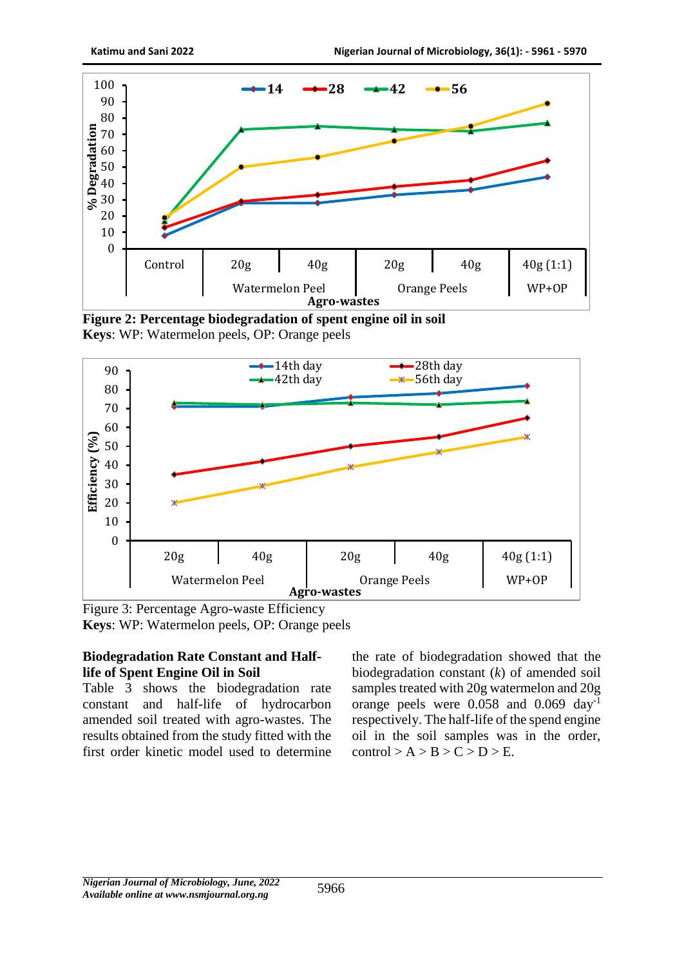

**Figure 2: Percentage biodegradation of spent engine oil in soil Keys**: WP: Watermelon peels, OP: Orange peels



Figure 3: Percentage Agro-waste Efficiency **Keys**: WP: Watermelon peels, OP: Orange peels

### **Biodegradation Rate Constant and Halflife of Spent Engine Oil in Soil**

Table 3 shows the biodegradation rate constant and half-life of hydrocarbon amended soil treated with agro-wastes. The results obtained from the study fitted with the first order kinetic model used to determine the rate of biodegradation showed that the biodegradation constant (*k*) of amended soil samples treated with 20g watermelon and 20g orange peels were 0.058 and 0.069 day-1 respectively. The half-life of the spend engine oil in the soil samples was in the order,  $control > A > B > C > D > E$ .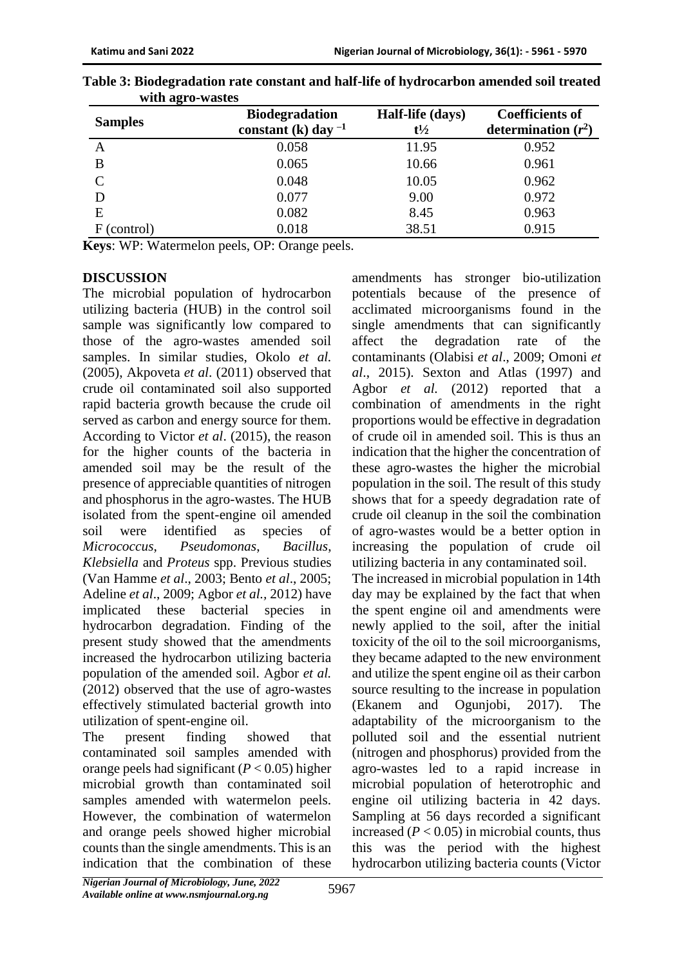| <b>Samples</b> | <b>Biodegradation</b><br>constant (k) day $^{-1}$ | Half-life (days)<br>$t\frac{1}{2}$ | <b>Coefficients of</b><br>determination $(r^2)$ |
|----------------|---------------------------------------------------|------------------------------------|-------------------------------------------------|
| Α              | 0.058                                             | 11.95                              | 0.952                                           |
| B              | 0.065                                             | 10.66                              | 0.961                                           |
| $\mathsf{C}$   | 0.048                                             | 10.05                              | 0.962                                           |
|                | 0.077                                             | 9.00                               | 0.972                                           |
| E              | 0.082                                             | 8.45                               | 0.963                                           |
| (control)      | 0.018                                             | 38.51                              | 0.915                                           |

| Table 3: Biodegradation rate constant and half-life of hydrocarbon amended soil treated |  |
|-----------------------------------------------------------------------------------------|--|
| with agro-wastes                                                                        |  |

**Keys**: WP: Watermelon peels, OP: Orange peels.

#### **DISCUSSION**

The microbial population of hydrocarbon utilizing bacteria (HUB) in the control soil sample was significantly low compared to those of the agro-wastes amended soil samples. In similar studies, Okolo *et al.* (2005), Akpoveta *et al*. (2011) observed that crude oil contaminated soil also supported rapid bacteria growth because the crude oil served as carbon and energy source for them. According to Victor *et al*. (2015), the reason for the higher counts of the bacteria in amended soil may be the result of the presence of appreciable quantities of nitrogen and phosphorus in the agro-wastes. The HUB isolated from the spent-engine oil amended soil were identified as species of *Micrococcus*, *Pseudomonas*, *Bacillus*, *Klebsiella* and *Proteus* spp. Previous studies (Van Hamme *et al*., 2003; Bento *et al*., 2005; Adeline *et al*., 2009; Agbor *et al.,* 2012) have implicated these bacterial species in hydrocarbon degradation. Finding of the present study showed that the amendments increased the hydrocarbon utilizing bacteria population of the amended soil. Agbor *et al.*  (2012) observed that the use of agro-wastes effectively stimulated bacterial growth into utilization of spent-engine oil.

The present finding showed that contaminated soil samples amended with orange peels had significant (*P* < 0.05) higher microbial growth than contaminated soil samples amended with watermelon peels. However, the combination of watermelon and orange peels showed higher microbial counts than the single amendments. This is an indication that the combination of these

amendments has stronger bio-utilization potentials because of the presence of acclimated microorganisms found in the single amendments that can significantly affect the degradation rate of the contaminants (Olabisi *et al*., 2009; Omoni *et al*., 2015). Sexton and Atlas (1997) and Agbor *et al.* (2012) reported that a combination of amendments in the right proportions would be effective in degradation of crude oil in amended soil. This is thus an indication that the higher the concentration of these agro-wastes the higher the microbial population in the soil. The result of this study shows that for a speedy degradation rate of crude oil cleanup in the soil the combination of agro-wastes would be a better option in increasing the population of crude oil utilizing bacteria in any contaminated soil. The increased in microbial population in 14th day may be explained by the fact that when the spent engine oil and amendments were newly applied to the soil, after the initial toxicity of the oil to the soil microorganisms, they became adapted to the new environment and utilize the spent engine oil as their carbon source resulting to the increase in population (Ekanem and Ogunjobi, 2017). The adaptability of the microorganism to the polluted soil and the essential nutrient (nitrogen and phosphorus) provided from the agro-wastes led to a rapid increase in microbial population of heterotrophic and engine oil utilizing bacteria in 42 days. Sampling at 56 days recorded a significant increased  $(P < 0.05)$  in microbial counts, thus this was the period with the highest hydrocarbon utilizing bacteria counts (Victor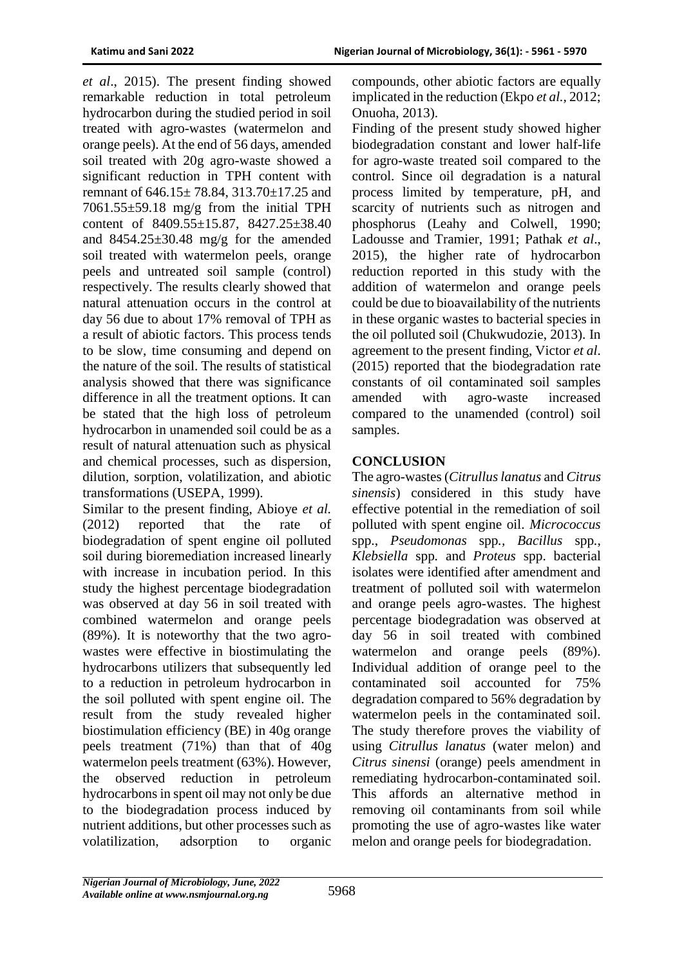*et al*., 2015). The present finding showed remarkable reduction in total petroleum hydrocarbon during the studied period in soil treated with agro-wastes (watermelon and orange peels). At the end of 56 days, amended soil treated with 20g agro-waste showed a significant reduction in TPH content with remnant of 646.15± 78.84, 313.70±17.25 and  $7061.55\pm59.18$  mg/g from the initial TPH content of 8409.55±15.87, 8427.25±38.40 and  $8454.25 \pm 30.48$  mg/g for the amended soil treated with watermelon peels, orange peels and untreated soil sample (control) respectively. The results clearly showed that natural attenuation occurs in the control at day 56 due to about 17% removal of TPH as a result of abiotic factors. This process tends to be slow, time consuming and depend on the nature of the soil. The results of statistical analysis showed that there was significance difference in all the treatment options. It can be stated that the high loss of petroleum hydrocarbon in unamended soil could be as a result of natural attenuation such as physical and chemical processes, such as dispersion, dilution, sorption, volatilization, and abiotic transformations (USEPA, 1999).

Similar to the present finding, Abioye *et al.*  (2012) reported that the rate of biodegradation of spent engine oil polluted soil during bioremediation increased linearly with increase in incubation period. In this study the highest percentage biodegradation was observed at day 56 in soil treated with combined watermelon and orange peels (89%). It is noteworthy that the two agrowastes were effective in biostimulating the hydrocarbons utilizers that subsequently led to a reduction in petroleum hydrocarbon in the soil polluted with spent engine oil. The result from the study revealed higher biostimulation efficiency (BE) in 40g orange peels treatment (71%) than that of 40g watermelon peels treatment (63%). However, the observed reduction in petroleum hydrocarbons in spent oil may not only be due to the biodegradation process induced by nutrient additions, but other processes such as volatilization, adsorption to organic

compounds, other abiotic factors are equally implicated in the reduction (Ekpo *et al.,* 2012; Onuoha, 2013).

Finding of the present study showed higher biodegradation constant and lower half-life for agro-waste treated soil compared to the control. Since oil degradation is a natural process limited by temperature, pH, and scarcity of nutrients such as nitrogen and phosphorus (Leahy and Colwell, 1990; Ladousse and Tramier, 1991; Pathak *et al*., 2015), the higher rate of hydrocarbon reduction reported in this study with the addition of watermelon and orange peels could be due to bioavailability of the nutrients in these organic wastes to bacterial species in the oil polluted soil (Chukwudozie, 2013). In agreement to the present finding, Victor *et al*. (2015) reported that the biodegradation rate constants of oil contaminated soil samples amended with agro-waste increased compared to the unamended (control) soil samples.

# **CONCLUSION**

The agro-wastes (*Citrullus lanatus* and *Citrus sinensis*) considered in this study have effective potential in the remediation of soil polluted with spent engine oil. *Micrococcus*  spp., *Pseudomonas* spp*., Bacillus* spp*., Klebsiella* spp*.* and *Proteus* spp. bacterial isolates were identified after amendment and treatment of polluted soil with watermelon and orange peels agro-wastes. The highest percentage biodegradation was observed at day 56 in soil treated with combined watermelon and orange peels (89%). Individual addition of orange peel to the contaminated soil accounted for 75% degradation compared to 56% degradation by watermelon peels in the contaminated soil. The study therefore proves the viability of using *Citrullus lanatus* (water melon) and *Citrus sinensi* (orange) peels amendment in remediating hydrocarbon-contaminated soil. This affords an alternative method in removing oil contaminants from soil while promoting the use of agro-wastes like water melon and orange peels for biodegradation.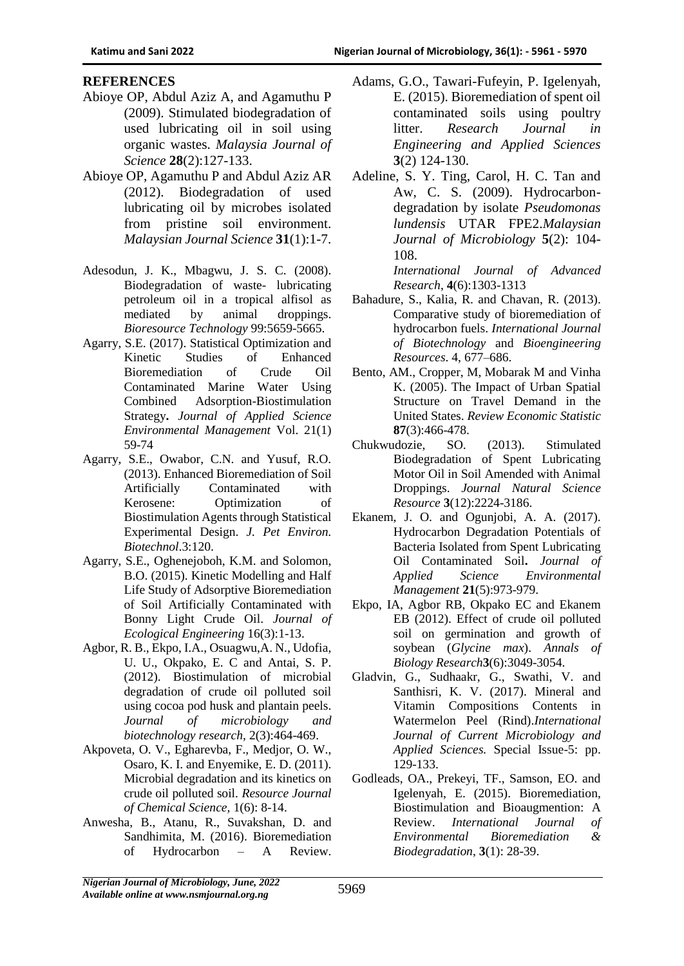#### **REFERENCES**

- Abioye OP, Abdul Aziz A, and Agamuthu P (2009). Stimulated biodegradation of used lubricating oil in soil using organic wastes. *Malaysia Journal of Science* **28**(2):127-133.
- Abioye OP, Agamuthu P and Abdul Aziz AR (2012). Biodegradation of used lubricating oil by microbes isolated from pristine soil environment. *Malaysian Journal Science* **31**(1):1-7.
- Adesodun, J. K., Mbagwu, J. S. C. (2008). Biodegradation of waste- lubricating petroleum oil in a tropical alfisol as mediated by animal droppings. *Bioresource Technology* 99:5659-5665.
- Agarry, S.E. (2017). Statistical Optimization and Kinetic Studies of Enhanced Bioremediation of Crude Oil Contaminated Marine Water Using Combined Adsorption-Biostimulation Strategy**.** *Journal of Applied Science Environmental Management* Vol. 21(1) 59-74
- Agarry, S.E., Owabor, C.N. and Yusuf, R.O. (2013). Enhanced Bioremediation of Soil Artificially Contaminated with Kerosene: Optimization of Biostimulation Agents through Statistical Experimental Design. *J. Pet Environ. Biotechnol*.3:120.
- Agarry, S.E., Oghenejoboh, K.M. and Solomon, B.O. (2015). Kinetic Modelling and Half Life Study of Adsorptive Bioremediation of Soil Artificially Contaminated with Bonny Light Crude Oil. *Journal of Ecological Engineering* 16(3):1-13.
- Agbor, R. B., Ekpo, I.A., Osuagwu,A. N., Udofia, U. U., Okpako, E. C and Antai, S. P. (2012). Biostimulation of microbial degradation of crude oil polluted soil using cocoa pod husk and plantain peels. *Journal of microbiology and biotechnology research,* 2(3):464-469.
- Akpoveta, O. V., Egharevba, F., Medjor, O. W., Osaro, K. I. and Enyemike, E. D. (2011). Microbial degradation and its kinetics on crude oil polluted soil. *Resource Journal of Chemical Science,* 1(6): 8-14.
- Anwesha, B., Atanu, R., Suvakshan, D. and Sandhimita, M. (2016). Bioremediation of Hydrocarbon – A Review.
- Adams, G.O., Tawari-Fufeyin, P. Igelenyah, E. (2015). Bioremediation of spent oil contaminated soils using poultry litter. *Research Journal in Engineering and Applied Sciences*  **3**(2) 124-130.
- Adeline, S. Y. Ting, Carol, H. C. Tan and Aw, C. S. (2009). Hydrocarbondegradation by isolate *Pseudomonas lundensis* UTAR FPE2.*Malaysian Journal of Microbiology* **5**(2): 104- 108.

*International Journal of Advanced Research*, **4**(6):1303-1313

- Bahadure, S., Kalia, R. and Chavan, R. (2013). Comparative study of bioremediation of hydrocarbon fuels. *International Journal of Biotechnology* and *Bioengineering Resources*. 4, 677–686.
- Bento, AM., Cropper, M, Mobarak M and Vinha K. (2005). The Impact of Urban Spatial Structure on Travel Demand in the United States. *Review Economic Statistic*  **87**(3):466-478.
- Chukwudozie, SO. (2013). Stimulated Biodegradation of Spent Lubricating Motor Oil in Soil Amended with Animal Droppings. *Journal Natural Science Resource* **3**(12):2224-3186.
- Ekanem, J. O. and Ogunjobi, A. A. (2017). Hydrocarbon Degradation Potentials of Bacteria Isolated from Spent Lubricating Oil Contaminated Soil**.** *Journal of Applied Science Environmental Management* **21**(5):973-979.
- Ekpo, IA, Agbor RB, Okpako EC and Ekanem EB (2012). Effect of crude oil polluted soil on germination and growth of soybean (*Glycine max*). *Annals of Biology Research***3**(6):3049-3054.
- Gladvin, G., Sudhaakr, G., Swathi, V. and Santhisri, K. V. (2017). Mineral and Vitamin Compositions Contents in Watermelon Peel (Rind).*International Journal of Current Microbiology and Applied Sciences.* Special Issue-5: pp. 129-133.
- Godleads, OA., Prekeyi, TF., Samson, EO. and Igelenyah, E. (2015). Bioremediation, Biostimulation and Bioaugmention: A Review. *International Journal of Environmental Bioremediation & Biodegradation*, **3**(1): 28-39.